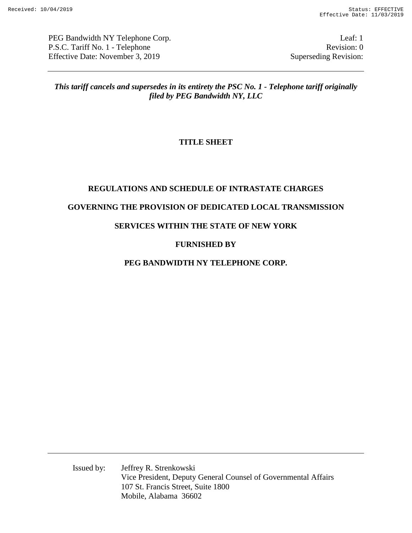PEG Bandwidth NY Telephone Corp. Leaf: 1 P.S.C. Tariff No. 1 - Telephone Revision: 0 Effective Date: November 3, 2019 Superseding Revision:

*This tariff cancels and supersedes in its entirety the PSC No. 1 - Telephone tariff originally filed by PEG Bandwidth NY, LLC* 

# **TITLE SHEET**

# **REGULATIONS AND SCHEDULE OF INTRASTATE CHARGES GOVERNING THE PROVISION OF DEDICATED LOCAL TRANSMISSION**

# **SERVICES WITHIN THE STATE OF NEW YORK**

# **FURNISHED BY**

# **PEG BANDWIDTH NY TELEPHONE CORP.**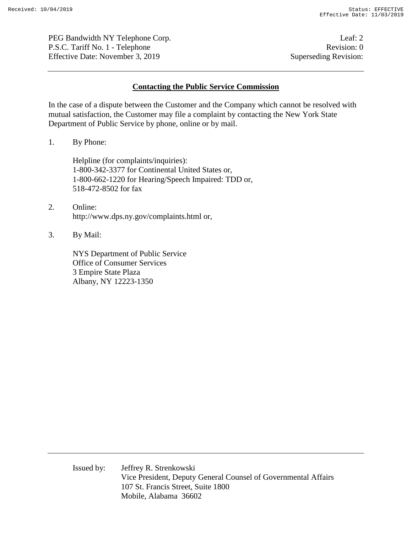PEG Bandwidth NY Telephone Corp. Leaf: 2 P.S.C. Tariff No. 1 - Telephone Revision: 0 Effective Date: November 3, 2019 Superseding Revision:

#### **Contacting the Public Service Commission**

In the case of a dispute between the Customer and the Company which cannot be resolved with mutual satisfaction, the Customer may file a complaint by contacting the New York State Department of Public Service by phone, online or by mail.

1. By Phone:

Helpline (for complaints/inquiries): 1-800-342-3377 for Continental United States or, 1-800-662-1220 for Hearing/Speech Impaired: TDD or, 518-472-8502 for fax

- 2. Online: http://www.dps.ny.gov/complaints.html or,
- 3. By Mail:

NYS Department of Public Service Office of Consumer Services 3 Empire State Plaza Albany, NY 12223-1350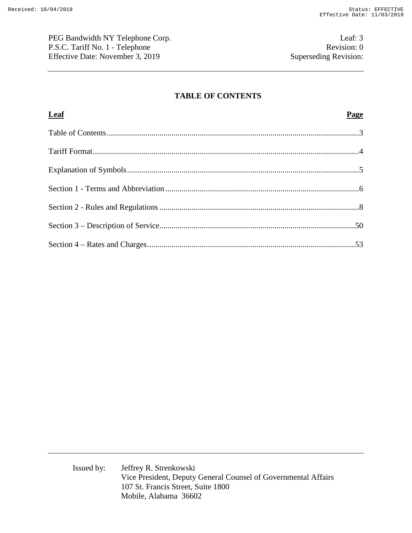PEG Bandwidth NY Telephone Corp. Leaf: 3 P.S.C. Tariff No. 1 - Telephone Revision: 0<br>Effective Date: November 3, 2019 Superseding Revision: Effective Date: November 3, 2019

### **TABLE OF CONTENTS**

| <b>Leaf</b> | Page |
|-------------|------|
|             |      |
|             |      |
|             |      |
|             |      |
|             |      |
|             |      |
|             |      |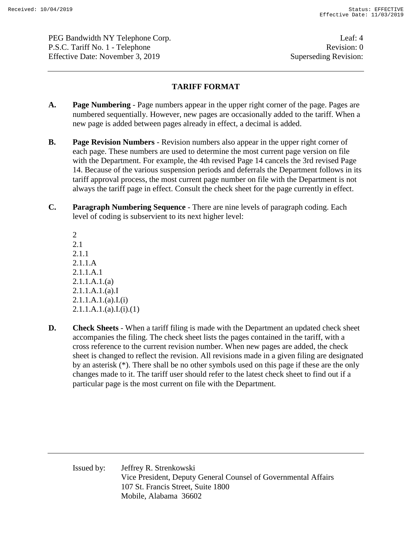PEG Bandwidth NY Telephone Corp. Leaf: 4 P.S.C. Tariff No. 1 - Telephone Revision: 0 Effective Date: November 3, 2019 Superseding Revision:

### **TARIFF FORMAT**

- **A. Page Numbering**  Page numbers appear in the upper right corner of the page. Pages are numbered sequentially. However, new pages are occasionally added to the tariff. When a new page is added between pages already in effect, a decimal is added.
- **B. Page Revision Numbers** Revision numbers also appear in the upper right corner of each page. These numbers are used to determine the most current page version on file with the Department. For example, the 4th revised Page 14 cancels the 3rd revised Page 14. Because of the various suspension periods and deferrals the Department follows in its tariff approval process, the most current page number on file with the Department is not always the tariff page in effect. Consult the check sheet for the page currently in effect.
- **C. Paragraph Numbering Sequence** There are nine levels of paragraph coding. Each level of coding is subservient to its next higher level:

2 2.1 2.1.1 2.1.1.A 2.1.1.A.1 2.1.1.A.1.(a) 2.1.1.A.1.(a).I 2.1.1.A.1.(a).I.(i)  $2.1.1.A.1.(a).I.(i).(1)$ 

**D.** Check Sheets - When a tariff filing is made with the Department an updated check sheet accompanies the filing. The check sheet lists the pages contained in the tariff, with a cross reference to the current revision number. When new pages are added, the check sheet is changed to reflect the revision. All revisions made in a given filing are designated by an asterisk (\*). There shall be no other symbols used on this page if these are the only changes made to it. The tariff user should refer to the latest check sheet to find out if a particular page is the most current on file with the Department.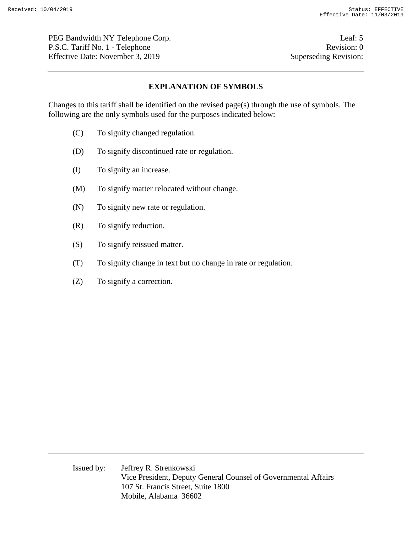PEG Bandwidth NY Telephone Corp. Leaf: 5 P.S.C. Tariff No. 1 - Telephone Revision: 0 Effective Date: November 3, 2019 Superseding Revision:

### **EXPLANATION OF SYMBOLS**

Changes to this tariff shall be identified on the revised page(s) through the use of symbols. The following are the only symbols used for the purposes indicated below:

- (C) To signify changed regulation.
- (D) To signify discontinued rate or regulation.
- (I) To signify an increase.
- (M) To signify matter relocated without change.
- (N) To signify new rate or regulation.
- (R) To signify reduction.
- (S) To signify reissued matter.
- (T) To signify change in text but no change in rate or regulation.
- (Z) To signify a correction.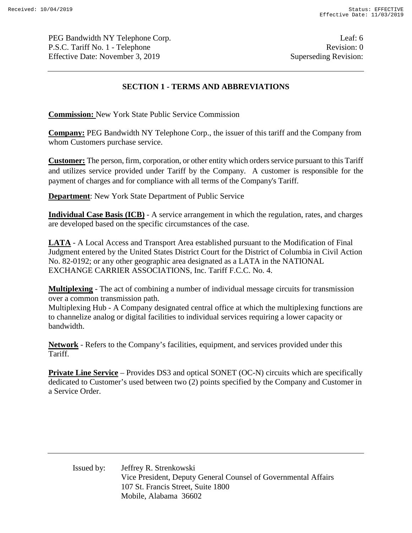PEG Bandwidth NY Telephone Corp. Leaf: 6 P.S.C. Tariff No. 1 - Telephone Revision: 0 Effective Date: November 3, 2019 Superseding Revision:

# **SECTION 1 - TERMS AND ABBREVIATIONS**

**Commission:** New York State Public Service Commission

**Company:** PEG Bandwidth NY Telephone Corp., the issuer of this tariff and the Company from whom Customers purchase service.

**Customer:** The person, firm, corporation, or other entity which orders service pursuant to this Tariff and utilizes service provided under Tariff by the Company. A customer is responsible for the payment of charges and for compliance with all terms of the Company's Tariff.

**Department:** New York State Department of Public Service

**Individual Case Basis (ICB)** - A service arrangement in which the regulation, rates, and charges are developed based on the specific circumstances of the case.

**LATA** - A Local Access and Transport Area established pursuant to the Modification of Final Judgment entered by the United States District Court for the District of Columbia in Civil Action No. 82-0192; or any other geographic area designated as a LATA in the NATIONAL EXCHANGE CARRIER ASSOCIATIONS, Inc. Tariff F.C.C. No. 4.

**Multiplexing** - The act of combining a number of individual message circuits for transmission over a common transmission path.

Multiplexing Hub - A Company designated central office at which the multiplexing functions are to channelize analog or digital facilities to individual services requiring a lower capacity or bandwidth.

**Network** - Refers to the Company's facilities, equipment, and services provided under this Tariff.

**Private Line Service** – Provides DS3 and optical SONET (OC-N) circuits which are specifically dedicated to Customer's used between two (2) points specified by the Company and Customer in a Service Order.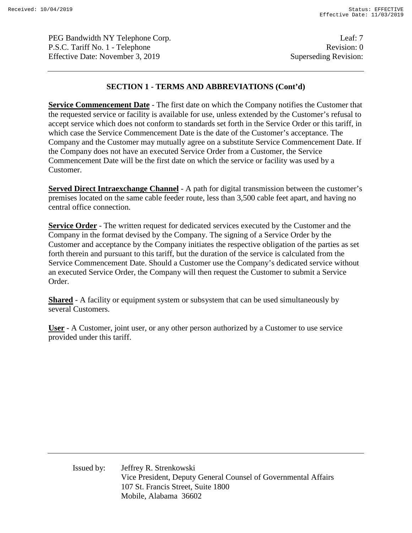PEG Bandwidth NY Telephone Corp. Leaf: 7 P.S.C. Tariff No. 1 - Telephone Revision: 0 Effective Date: November 3, 2019 Superseding Revision:

### **SECTION 1 - TERMS AND ABBREVIATIONS (Cont'd)**

**Service Commencement Date** - The first date on which the Company notifies the Customer that the requested service or facility is available for use, unless extended by the Customer's refusal to accept service which does not conform to standards set forth in the Service Order or this tariff, in which case the Service Commencement Date is the date of the Customer's acceptance. The Company and the Customer may mutually agree on a substitute Service Commencement Date. If the Company does not have an executed Service Order from a Customer, the Service Commencement Date will be the first date on which the service or facility was used by a Customer.

**Served Direct Intraexchange Channel** - A path for digital transmission between the customer's premises located on the same cable feeder route, less than 3,500 cable feet apart, and having no central office connection.

**Service Order** - The written request for dedicated services executed by the Customer and the Company in the format devised by the Company. The signing of a Service Order by the Customer and acceptance by the Company initiates the respective obligation of the parties as set forth therein and pursuant to this tariff, but the duration of the service is calculated from the Service Commencement Date. Should a Customer use the Company's dedicated service without an executed Service Order, the Company will then request the Customer to submit a Service Order.

**Shared** - A facility or equipment system or subsystem that can be used simultaneously by several Customers.

**User** - A Customer, joint user, or any other person authorized by a Customer to use service provided under this tariff.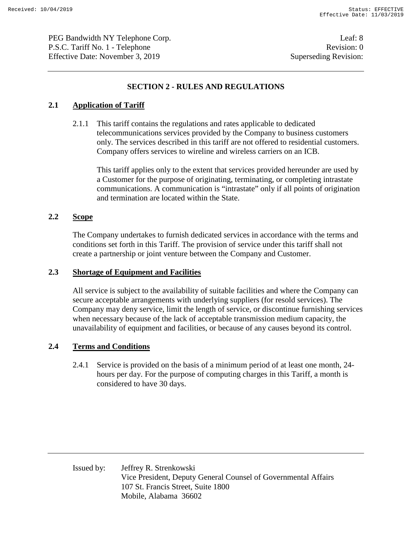PEG Bandwidth NY Telephone Corp. Leaf: 8 P.S.C. Tariff No. 1 - Telephone Revision: 0 Effective Date: November 3, 2019 Superseding Revision:

## **SECTION 2 - RULES AND REGULATIONS**

### **2.1 Application of Tariff**

2.1.1 This tariff contains the regulations and rates applicable to dedicated telecommunications services provided by the Company to business customers only. The services described in this tariff are not offered to residential customers. Company offers services to wireline and wireless carriers on an ICB.

This tariff applies only to the extent that services provided hereunder are used by a Customer for the purpose of originating, terminating, or completing intrastate communications. A communication is "intrastate" only if all points of origination and termination are located within the State.

### **2.2 Scope**

The Company undertakes to furnish dedicated services in accordance with the terms and conditions set forth in this Tariff. The provision of service under this tariff shall not create a partnership or joint venture between the Company and Customer.

#### **2.3 Shortage of Equipment and Facilities**

All service is subject to the availability of suitable facilities and where the Company can secure acceptable arrangements with underlying suppliers (for resold services). The Company may deny service, limit the length of service, or discontinue furnishing services when necessary because of the lack of acceptable transmission medium capacity, the unavailability of equipment and facilities, or because of any causes beyond its control.

### **2.4 Terms and Conditions**

2.4.1 Service is provided on the basis of a minimum period of at least one month, 24 hours per day. For the purpose of computing charges in this Tariff, a month is considered to have 30 days.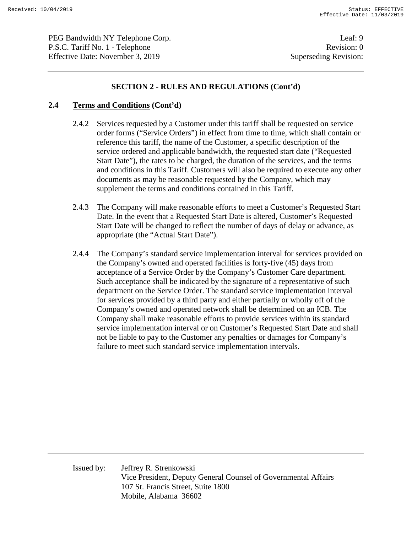PEG Bandwidth NY Telephone Corp. Leaf: 9 P.S.C. Tariff No. 1 - Telephone Revision: 0 Effective Date: November 3, 2019 Superseding Revision:

### **SECTION 2 - RULES AND REGULATIONS (Cont'd)**

#### **2.4 Terms and Conditions (Cont'd)**

- 2.4.2 Services requested by a Customer under this tariff shall be requested on service order forms ("Service Orders") in effect from time to time, which shall contain or reference this tariff, the name of the Customer, a specific description of the service ordered and applicable bandwidth, the requested start date ("Requested Start Date"), the rates to be charged, the duration of the services, and the terms and conditions in this Tariff. Customers will also be required to execute any other documents as may be reasonable requested by the Company, which may supplement the terms and conditions contained in this Tariff.
- 2.4.3 The Company will make reasonable efforts to meet a Customer's Requested Start Date. In the event that a Requested Start Date is altered, Customer's Requested Start Date will be changed to reflect the number of days of delay or advance, as appropriate (the "Actual Start Date").
- 2.4.4 The Company's standard service implementation interval for services provided on the Company's owned and operated facilities is forty-five (45) days from acceptance of a Service Order by the Company's Customer Care department. Such acceptance shall be indicated by the signature of a representative of such department on the Service Order. The standard service implementation interval for services provided by a third party and either partially or wholly off of the Company's owned and operated network shall be determined on an ICB. The Company shall make reasonable efforts to provide services within its standard service implementation interval or on Customer's Requested Start Date and shall not be liable to pay to the Customer any penalties or damages for Company's failure to meet such standard service implementation intervals.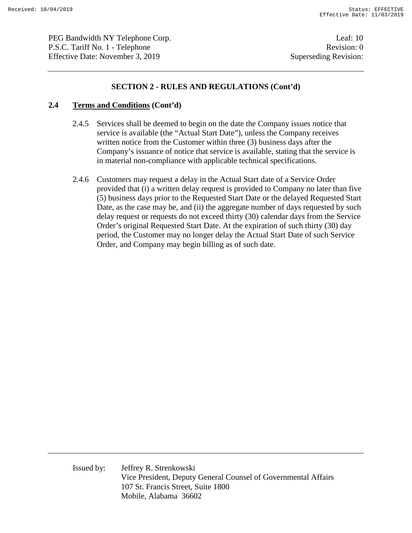PEG Bandwidth NY Telephone Corp. Leaf: 10 P.S.C. Tariff No. 1 - Telephone Revision: 0 Effective Date: November 3, 2019 Superseding Revision:

### **SECTION 2 - RULES AND REGULATIONS (Cont'd)**

#### **2.4 Terms and Conditions (Cont'd)**

- 2.4.5 Services shall be deemed to begin on the date the Company issues notice that service is available (the "Actual Start Date"), unless the Company receives written notice from the Customer within three (3) business days after the Company's issuance of notice that service is available, stating that the service is in material non-compliance with applicable technical specifications.
- 2.4.6 Customers may request a delay in the Actual Start date of a Service Order provided that (i) a written delay request is provided to Company no later than five (5) business days prior to the Requested Start Date or the delayed Requested Start Date, as the case may be, and (ii) the aggregate number of days requested by such delay request or requests do not exceed thirty (30) calendar days from the Service Order's original Requested Start Date. At the expiration of such thirty (30) day period, the Customer may no longer delay the Actual Start Date of such Service Order, and Company may begin billing as of such date.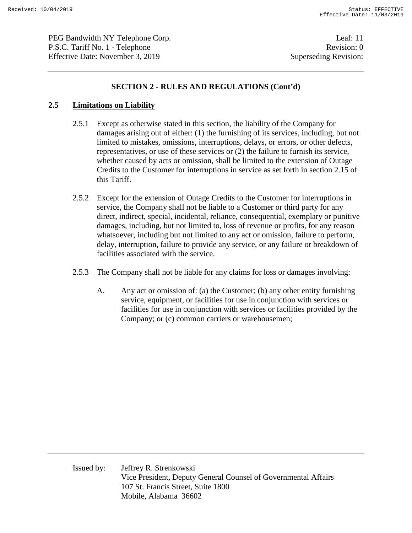PEG Bandwidth NY Telephone Corp. Leaf: 11 P.S.C. Tariff No. 1 - Telephone Revision: 0 Effective Date: November 3, 2019 Superseding Revision:

### **SECTION 2 - RULES AND REGULATIONS (Cont'd)**

### **2.5 Limitations on Liability**

- 2.5.1 Except as otherwise stated in this section, the liability of the Company for damages arising out of either: (1) the furnishing of its services, including, but not limited to mistakes, omissions, interruptions, delays, or errors, or other defects, representatives, or use of these services or (2) the failure to furnish its service, whether caused by acts or omission, shall be limited to the extension of Outage Credits to the Customer for interruptions in service as set forth in section 2.15 of this Tariff.
- 2.5.2 Except for the extension of Outage Credits to the Customer for interruptions in service, the Company shall not be liable to a Customer or third party for any direct, indirect, special, incidental, reliance, consequential, exemplary or punitive damages, including, but not limited to, loss of revenue or profits, for any reason whatsoever, including but not limited to any act or omission, failure to perform, delay, interruption, failure to provide any service, or any failure or breakdown of facilities associated with the service.
- 2.5.3 The Company shall not be liable for any claims for loss or damages involving:
	- A. Any act or omission of: (a) the Customer; (b) any other entity furnishing service, equipment, or facilities for use in conjunction with services or facilities for use in conjunction with services or facilities provided by the Company; or (c) common carriers or warehousemen;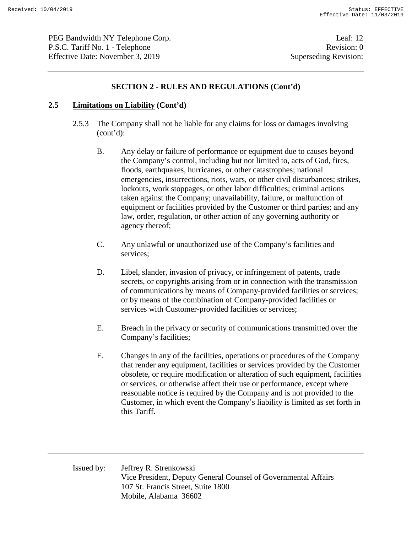PEG Bandwidth NY Telephone Corp. Leaf: 12 P.S.C. Tariff No. 1 - Telephone Revision: 0 Effective Date: November 3, 2019 Superseding Revision:

### **SECTION 2 - RULES AND REGULATIONS (Cont'd)**

#### **2.5 Limitations on Liability (Cont'd)**

- 2.5.3 The Company shall not be liable for any claims for loss or damages involving (cont'd):
	- B. Any delay or failure of performance or equipment due to causes beyond the Company's control, including but not limited to, acts of God, fires, floods, earthquakes, hurricanes, or other catastrophes; national emergencies, insurrections, riots, wars, or other civil disturbances; strikes, lockouts, work stoppages, or other labor difficulties; criminal actions taken against the Company; unavailability, failure, or malfunction of equipment or facilities provided by the Customer or third parties; and any law, order, regulation, or other action of any governing authority or agency thereof;
	- C. Any unlawful or unauthorized use of the Company's facilities and services;
	- D. Libel, slander, invasion of privacy, or infringement of patents, trade secrets, or copyrights arising from or in connection with the transmission of communications by means of Company-provided facilities or services; or by means of the combination of Company-provided facilities or services with Customer-provided facilities or services;
	- E. Breach in the privacy or security of communications transmitted over the Company's facilities;
	- F. Changes in any of the facilities, operations or procedures of the Company that render any equipment, facilities or services provided by the Customer obsolete, or require modification or alteration of such equipment, facilities or services, or otherwise affect their use or performance, except where reasonable notice is required by the Company and is not provided to the Customer, in which event the Company's liability is limited as set forth in this Tariff.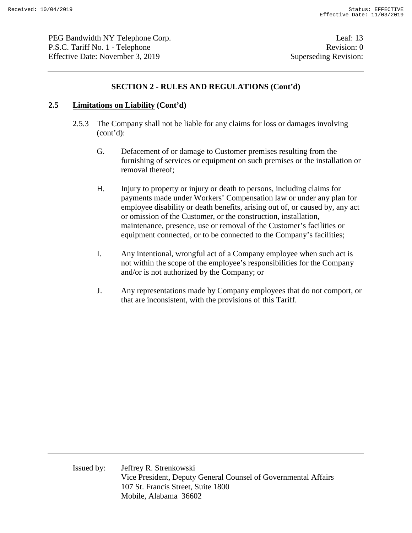PEG Bandwidth NY Telephone Corp. Leaf: 13 P.S.C. Tariff No. 1 - Telephone Revision: 0 Effective Date: November 3, 2019 Superseding Revision:

### **SECTION 2 - RULES AND REGULATIONS (Cont'd)**

#### **2.5 Limitations on Liability (Cont'd)**

- 2.5.3 The Company shall not be liable for any claims for loss or damages involving (cont'd):
	- G. Defacement of or damage to Customer premises resulting from the furnishing of services or equipment on such premises or the installation or removal thereof;
	- H. Injury to property or injury or death to persons, including claims for payments made under Workers' Compensation law or under any plan for employee disability or death benefits, arising out of, or caused by, any act or omission of the Customer, or the construction, installation, maintenance, presence, use or removal of the Customer's facilities or equipment connected, or to be connected to the Company's facilities;
	- I. Any intentional, wrongful act of a Company employee when such act is not within the scope of the employee's responsibilities for the Company and/or is not authorized by the Company; or
	- J. Any representations made by Company employees that do not comport, or that are inconsistent, with the provisions of this Tariff.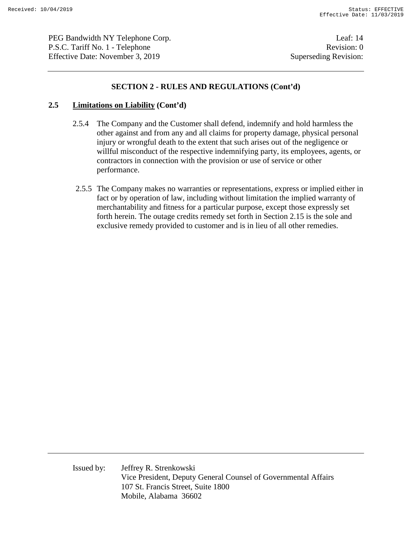PEG Bandwidth NY Telephone Corp. Leaf: 14 P.S.C. Tariff No. 1 - Telephone Revision: 0 Effective Date: November 3, 2019 Superseding Revision:

### **SECTION 2 - RULES AND REGULATIONS (Cont'd)**

#### **2.5 Limitations on Liability (Cont'd)**

- 2.5.4 The Company and the Customer shall defend, indemnify and hold harmless the other against and from any and all claims for property damage, physical personal injury or wrongful death to the extent that such arises out of the negligence or willful misconduct of the respective indemnifying party, its employees, agents, or contractors in connection with the provision or use of service or other performance.
- 2.5.5 The Company makes no warranties or representations, express or implied either in fact or by operation of law, including without limitation the implied warranty of merchantability and fitness for a particular purpose, except those expressly set forth herein. The outage credits remedy set forth in Section 2.15 is the sole and exclusive remedy provided to customer and is in lieu of all other remedies.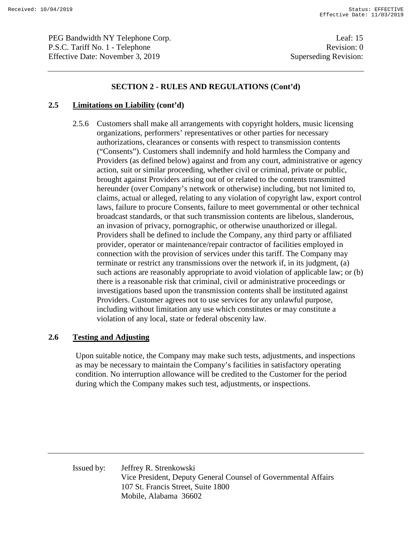PEG Bandwidth NY Telephone Corp. Leaf: 15 P.S.C. Tariff No. 1 - Telephone Revision: 0 Effective Date: November 3, 2019 Superseding Revision:

### **SECTION 2 - RULES AND REGULATIONS (Cont'd)**

### **2.5 Limitations on Liability (cont'd)**

2.5.6 Customers shall make all arrangements with copyright holders, music licensing organizations, performers' representatives or other parties for necessary authorizations, clearances or consents with respect to transmission contents ("Consents"). Customers shall indemnify and hold harmless the Company and Providers (as defined below) against and from any court, administrative or agency action, suit or similar proceeding, whether civil or criminal, private or public, brought against Providers arising out of or related to the contents transmitted hereunder (over Company's network or otherwise) including, but not limited to, claims, actual or alleged, relating to any violation of copyright law, export control laws, failure to procure Consents, failure to meet governmental or other technical broadcast standards, or that such transmission contents are libelous, slanderous, an invasion of privacy, pornographic, or otherwise unauthorized or illegal. Providers shall be defined to include the Company, any third party or affiliated provider, operator or maintenance/repair contractor of facilities employed in connection with the provision of services under this tariff. The Company may terminate or restrict any transmissions over the network if, in its judgment, (a) such actions are reasonably appropriate to avoid violation of applicable law; or (b) there is a reasonable risk that criminal, civil or administrative proceedings or investigations based upon the transmission contents shall be instituted against Providers. Customer agrees not to use services for any unlawful purpose, including without limitation any use which constitutes or may constitute a violation of any local, state or federal obscenity law.

# **2.6 Testing and Adjusting**

Upon suitable notice, the Company may make such tests, adjustments, and inspections as may be necessary to maintain the Company's facilities in satisfactory operating condition. No interruption allowance will be credited to the Customer for the period during which the Company makes such test, adjustments, or inspections.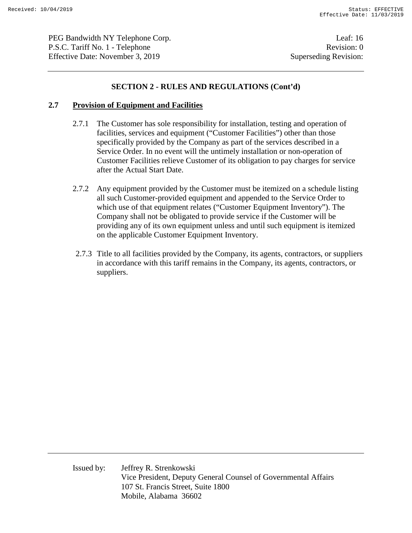PEG Bandwidth NY Telephone Corp. Leaf: 16 P.S.C. Tariff No. 1 - Telephone Revision: 0 Effective Date: November 3, 2019 Superseding Revision:

### **SECTION 2 - RULES AND REGULATIONS (Cont'd)**

#### **2.7 Provision of Equipment and Facilities**

- 2.7.1 The Customer has sole responsibility for installation, testing and operation of facilities, services and equipment ("Customer Facilities") other than those specifically provided by the Company as part of the services described in a Service Order. In no event will the untimely installation or non-operation of Customer Facilities relieve Customer of its obligation to pay charges for service after the Actual Start Date.
- 2.7.2 Any equipment provided by the Customer must be itemized on a schedule listing all such Customer-provided equipment and appended to the Service Order to which use of that equipment relates ("Customer Equipment Inventory"). The Company shall not be obligated to provide service if the Customer will be providing any of its own equipment unless and until such equipment is itemized on the applicable Customer Equipment Inventory.
- 2.7.3 Title to all facilities provided by the Company, its agents, contractors, or suppliers in accordance with this tariff remains in the Company, its agents, contractors, or suppliers.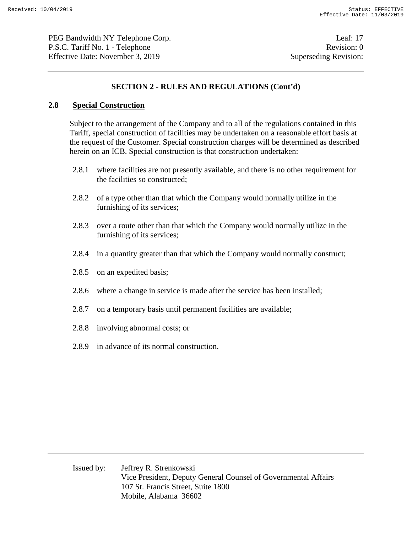PEG Bandwidth NY Telephone Corp. Leaf: 17 P.S.C. Tariff No. 1 - Telephone Revision: 0 Effective Date: November 3, 2019 Superseding Revision:

### **SECTION 2 - RULES AND REGULATIONS (Cont'd)**

### **2.8 Special Construction**

Subject to the arrangement of the Company and to all of the regulations contained in this Tariff, special construction of facilities may be undertaken on a reasonable effort basis at the request of the Customer. Special construction charges will be determined as described herein on an ICB. Special construction is that construction undertaken:

- 2.8.1 where facilities are not presently available, and there is no other requirement for the facilities so constructed;
- 2.8.2 of a type other than that which the Company would normally utilize in the furnishing of its services;
- 2.8.3 over a route other than that which the Company would normally utilize in the furnishing of its services;
- 2.8.4 in a quantity greater than that which the Company would normally construct;
- 2.8.5 on an expedited basis;
- 2.8.6 where a change in service is made after the service has been installed;
- 2.8.7 on a temporary basis until permanent facilities are available;
- 2.8.8 involving abnormal costs; or
- 2.8.9 in advance of its normal construction.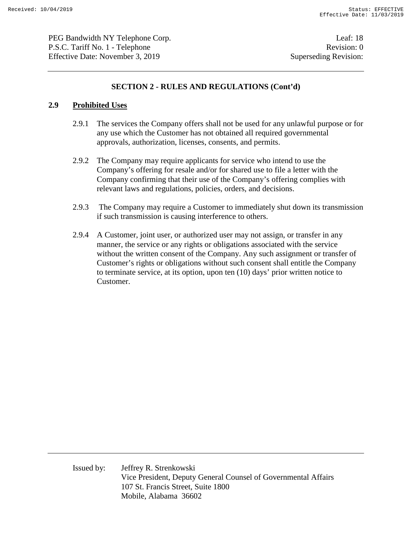PEG Bandwidth NY Telephone Corp. Leaf: 18 P.S.C. Tariff No. 1 - Telephone Revision: 0 Effective Date: November 3, 2019 Superseding Revision:

### **SECTION 2 - RULES AND REGULATIONS (Cont'd)**

#### **2.9 Prohibited Uses**

- 2.9.1 The services the Company offers shall not be used for any unlawful purpose or for any use which the Customer has not obtained all required governmental approvals, authorization, licenses, consents, and permits.
- 2.9.2 The Company may require applicants for service who intend to use the Company's offering for resale and/or for shared use to file a letter with the Company confirming that their use of the Company's offering complies with relevant laws and regulations, policies, orders, and decisions.
- 2.9.3 The Company may require a Customer to immediately shut down its transmission if such transmission is causing interference to others.
- 2.9.4 A Customer, joint user, or authorized user may not assign, or transfer in any manner, the service or any rights or obligations associated with the service without the written consent of the Company. Any such assignment or transfer of Customer's rights or obligations without such consent shall entitle the Company to terminate service, at its option, upon ten (10) days' prior written notice to Customer.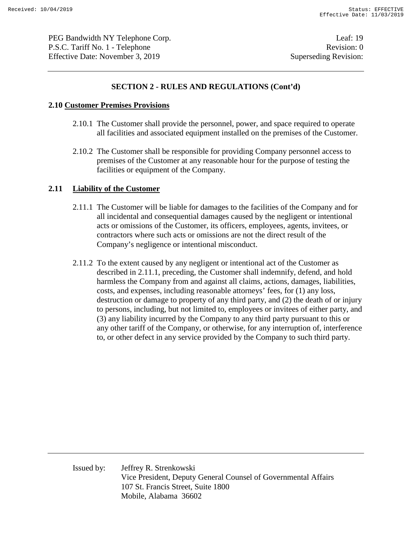PEG Bandwidth NY Telephone Corp. Leaf: 19 P.S.C. Tariff No. 1 - Telephone Revision: 0 Effective Date: November 3, 2019 Superseding Revision:

### **SECTION 2 - RULES AND REGULATIONS (Cont'd)**

#### **2.10 Customer Premises Provisions**

- 2.10.1 The Customer shall provide the personnel, power, and space required to operate all facilities and associated equipment installed on the premises of the Customer.
- 2.10.2 The Customer shall be responsible for providing Company personnel access to premises of the Customer at any reasonable hour for the purpose of testing the facilities or equipment of the Company.

#### **2.11 Liability of the Customer**

- 2.11.1 The Customer will be liable for damages to the facilities of the Company and for all incidental and consequential damages caused by the negligent or intentional acts or omissions of the Customer, its officers, employees, agents, invitees, or contractors where such acts or omissions are not the direct result of the Company's negligence or intentional misconduct.
- 2.11.2 To the extent caused by any negligent or intentional act of the Customer as described in 2.11.1, preceding, the Customer shall indemnify, defend, and hold harmless the Company from and against all claims, actions, damages, liabilities, costs, and expenses, including reasonable attorneys' fees, for (1) any loss, destruction or damage to property of any third party, and (2) the death of or injury to persons, including, but not limited to, employees or invitees of either party, and (3) any liability incurred by the Company to any third party pursuant to this or any other tariff of the Company, or otherwise, for any interruption of, interference to, or other defect in any service provided by the Company to such third party.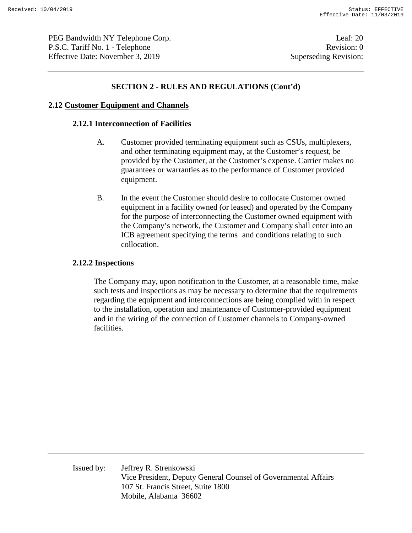PEG Bandwidth NY Telephone Corp. Leaf: 20 P.S.C. Tariff No. 1 - Telephone Revision: 0 Effective Date: November 3, 2019 Superseding Revision:

### **SECTION 2 - RULES AND REGULATIONS (Cont'd)**

#### **2.12 Customer Equipment and Channels**

#### **2.12.1 Interconnection of Facilities**

- A. Customer provided terminating equipment such as CSUs, multiplexers, and other terminating equipment may, at the Customer's request, be provided by the Customer, at the Customer's expense. Carrier makes no guarantees or warranties as to the performance of Customer provided equipment.
- B. In the event the Customer should desire to collocate Customer owned equipment in a facility owned (or leased) and operated by the Company for the purpose of interconnecting the Customer owned equipment with the Company's network, the Customer and Company shall enter into an ICB agreement specifying the terms and conditions relating to such collocation.

#### **2.12.2 Inspections**

The Company may, upon notification to the Customer, at a reasonable time, make such tests and inspections as may be necessary to determine that the requirements regarding the equipment and interconnections are being complied with in respect to the installation, operation and maintenance of Customer-provided equipment and in the wiring of the connection of Customer channels to Company-owned facilities.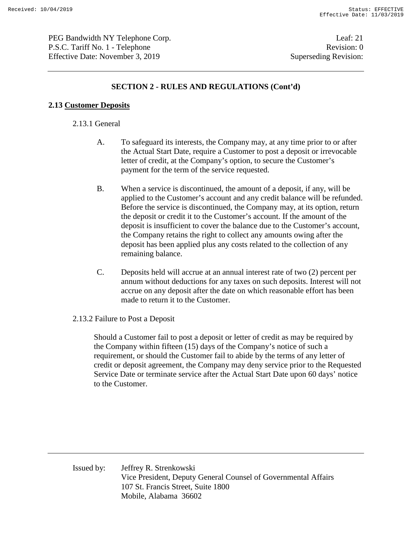PEG Bandwidth NY Telephone Corp. Leaf: 21 P.S.C. Tariff No. 1 - Telephone Revision: 0 Effective Date: November 3, 2019 Superseding Revision:

### **SECTION 2 - RULES AND REGULATIONS (Cont'd)**

#### **2.13 Customer Deposits**

#### 2.13.1 General

- A. To safeguard its interests, the Company may, at any time prior to or after the Actual Start Date, require a Customer to post a deposit or irrevocable letter of credit, at the Company's option, to secure the Customer's payment for the term of the service requested.
- B. When a service is discontinued, the amount of a deposit, if any, will be applied to the Customer's account and any credit balance will be refunded. Before the service is discontinued, the Company may, at its option, return the deposit or credit it to the Customer's account. If the amount of the deposit is insufficient to cover the balance due to the Customer's account, the Company retains the right to collect any amounts owing after the deposit has been applied plus any costs related to the collection of any remaining balance.
- C. Deposits held will accrue at an annual interest rate of two (2) percent per annum without deductions for any taxes on such deposits. Interest will not accrue on any deposit after the date on which reasonable effort has been made to return it to the Customer.
- 2.13.2 Failure to Post a Deposit

Should a Customer fail to post a deposit or letter of credit as may be required by the Company within fifteen (15) days of the Company's notice of such a requirement, or should the Customer fail to abide by the terms of any letter of credit or deposit agreement, the Company may deny service prior to the Requested Service Date or terminate service after the Actual Start Date upon 60 days' notice to the Customer.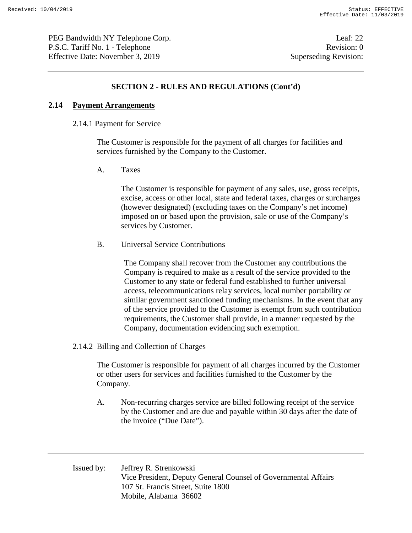PEG Bandwidth NY Telephone Corp. Leaf: 22 P.S.C. Tariff No. 1 - Telephone Revision: 0 Effective Date: November 3, 2019 Superseding Revision:

### **SECTION 2 - RULES AND REGULATIONS (Cont'd)**

#### **2.14 Payment Arrangements**

#### 2.14.1 Payment for Service

The Customer is responsible for the payment of all charges for facilities and services furnished by the Company to the Customer.

A. Taxes

The Customer is responsible for payment of any sales, use, gross receipts, excise, access or other local, state and federal taxes, charges or surcharges (however designated) (excluding taxes on the Company's net income) imposed on or based upon the provision, sale or use of the Company's services by Customer.

#### B. Universal Service Contributions

The Company shall recover from the Customer any contributions the Company is required to make as a result of the service provided to the Customer to any state or federal fund established to further universal access, telecommunications relay services, local number portability or similar government sanctioned funding mechanisms. In the event that any of the service provided to the Customer is exempt from such contribution requirements, the Customer shall provide, in a manner requested by the Company, documentation evidencing such exemption.

#### 2.14.2 Billing and Collection of Charges

The Customer is responsible for payment of all charges incurred by the Customer or other users for services and facilities furnished to the Customer by the Company.

A. Non-recurring charges service are billed following receipt of the service by the Customer and are due and payable within 30 days after the date of the invoice ("Due Date").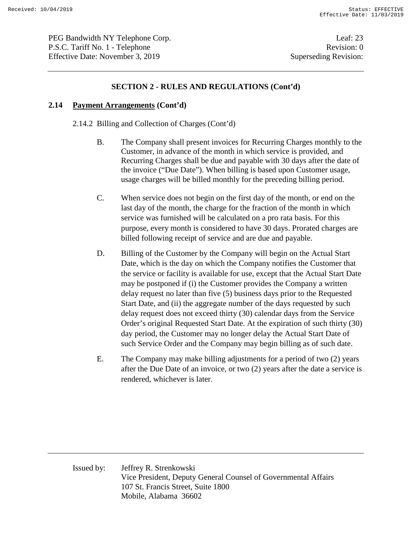PEG Bandwidth NY Telephone Corp. Leaf: 23 P.S.C. Tariff No. 1 - Telephone Revision: 0 Effective Date: November 3, 2019 Superseding Revision:

### **SECTION 2 - RULES AND REGULATIONS (Cont'd)**

#### **2.14 Payment Arrangements (Cont'd)**

2.14.2 Billing and Collection of Charges (Cont'd)

- B. The Company shall present invoices for Recurring Charges monthly to the Customer, in advance of the month in which service is provided, and Recurring Charges shall be due and payable with 30 days after the date of the invoice ("Due Date"). When billing is based upon Customer usage, usage charges will be billed monthly for the preceding billing period.
- C. When service does not begin on the first day of the month, or end on the last day of the month, the charge for the fraction of the month in which service was furnished will be calculated on a pro rata basis. For this purpose, every month is considered to have 30 days. Prorated charges are billed following receipt of service and are due and payable.
- D. Billing of the Customer by the Company will begin on the Actual Start Date, which is the day on which the Company notifies the Customer that the service or facility is available for use, except that the Actual Start Date may be postponed if (i) the Customer provides the Company a written delay request no later than five (5) business days prior to the Requested Start Date, and (ii) the aggregate number of the days requested by such delay request does not exceed thirty (30) calendar days from the Service Order's original Requested Start Date. At the expiration of such thirty (30) day period, the Customer may no longer delay the Actual Start Date of such Service Order and the Company may begin billing as of such date.
- E. The Company may make billing adjustments for a period of two (2) years after the Due Date of an invoice, or two (2) years after the date a service is rendered, whichever is later.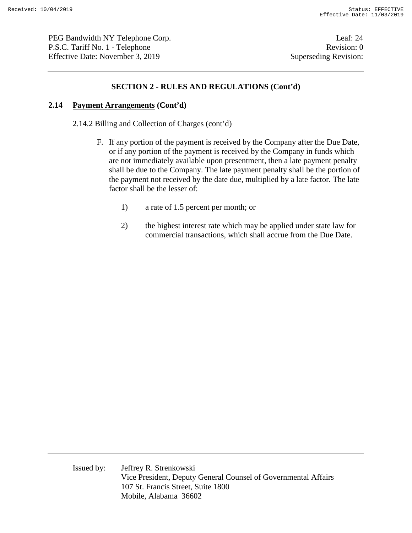PEG Bandwidth NY Telephone Corp. Leaf: 24 P.S.C. Tariff No. 1 - Telephone Revision: 0 Effective Date: November 3, 2019 Superseding Revision:

### **SECTION 2 - RULES AND REGULATIONS (Cont'd)**

#### **2.14 Payment Arrangements (Cont'd)**

2.14.2 Billing and Collection of Charges (cont'd)

- F. If any portion of the payment is received by the Company after the Due Date, or if any portion of the payment is received by the Company in funds which are not immediately available upon presentment, then a late payment penalty shall be due to the Company. The late payment penalty shall be the portion of the payment not received by the date due, multiplied by a late factor. The late factor shall be the lesser of:
	- 1) a rate of 1.5 percent per month; or
	- 2) the highest interest rate which may be applied under state law for commercial transactions, which shall accrue from the Due Date.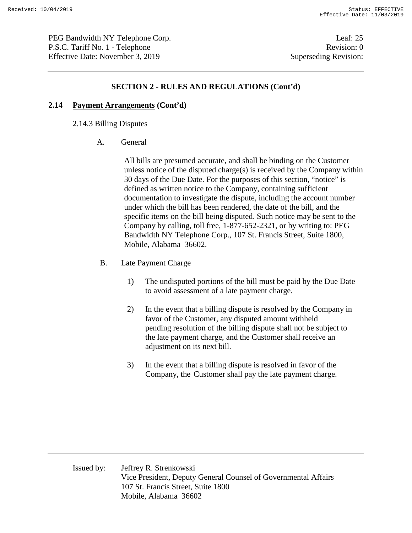PEG Bandwidth NY Telephone Corp. Leaf: 25 P.S.C. Tariff No. 1 - Telephone Revision: 0 Effective Date: November 3, 2019 Superseding Revision:

#### **SECTION 2 - RULES AND REGULATIONS (Cont'd)**

#### **2.14 Payment Arrangements (Cont'd)**

2.14.3 Billing Disputes

A. General

All bills are presumed accurate, and shall be binding on the Customer unless notice of the disputed charge $(s)$  is received by the Company within 30 days of the Due Date. For the purposes of this section, "notice" is defined as written notice to the Company, containing sufficient documentation to investigate the dispute, including the account number under which the bill has been rendered, the date of the bill, and the specific items on the bill being disputed. Such notice may be sent to the Company by calling, toll free, 1-877-652-2321, or by writing to: PEG Bandwidth NY Telephone Corp., 107 St. Francis Street, Suite 1800, Mobile, Alabama 36602.

- B. Late Payment Charge
	- 1) The undisputed portions of the bill must be paid by the Due Date to avoid assessment of a late payment charge.
	- 2) In the event that a billing dispute is resolved by the Company in favor of the Customer, any disputed amount withheld pending resolution of the billing dispute shall not be subject to the late payment charge, and the Customer shall receive an adjustment on its next bill.
	- 3) In the event that a billing dispute is resolved in favor of the Company, the Customer shall pay the late payment charge.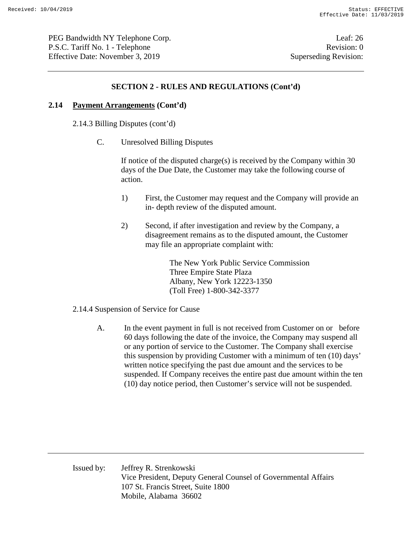PEG Bandwidth NY Telephone Corp. Leaf: 26 P.S.C. Tariff No. 1 - Telephone Revision: 0 Effective Date: November 3, 2019 Superseding Revision:

### **SECTION 2 - RULES AND REGULATIONS (Cont'd)**

### **2.14 Payment Arrangements (Cont'd)**

2.14.3 Billing Disputes (cont'd)

C. Unresolved Billing Disputes

If notice of the disputed charge(s) is received by the Company within 30 days of the Due Date, the Customer may take the following course of action.

- 1) First, the Customer may request and the Company will provide an in- depth review of the disputed amount.
- 2) Second, if after investigation and review by the Company, a disagreement remains as to the disputed amount, the Customer may file an appropriate complaint with:

The New York Public Service Commission Three Empire State Plaza Albany, New York 12223-1350 (Toll Free) 1-800-342-3377

#### 2.14.4 Suspension of Service for Cause

A. In the event payment in full is not received from Customer on or before 60 days following the date of the invoice, the Company may suspend all or any portion of service to the Customer. The Company shall exercise this suspension by providing Customer with a minimum of ten (10) days' written notice specifying the past due amount and the services to be suspended. If Company receives the entire past due amount within the ten (10) day notice period, then Customer's service will not be suspended.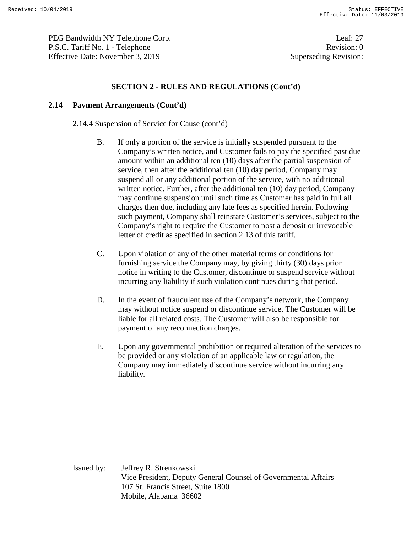PEG Bandwidth NY Telephone Corp. Leaf: 27 P.S.C. Tariff No. 1 - Telephone Revision: 0 Effective Date: November 3, 2019 Superseding Revision:

### **SECTION 2 - RULES AND REGULATIONS (Cont'd)**

#### **2.14 Payment Arrangements (Cont'd)**

2.14.4 Suspension of Service for Cause (cont'd)

- B. If only a portion of the service is initially suspended pursuant to the Company's written notice, and Customer fails to pay the specified past due amount within an additional ten (10) days after the partial suspension of service, then after the additional ten (10) day period, Company may suspend all or any additional portion of the service, with no additional written notice. Further, after the additional ten (10) day period, Company may continue suspension until such time as Customer has paid in full all charges then due, including any late fees as specified herein. Following such payment, Company shall reinstate Customer's services, subject to the Company's right to require the Customer to post a deposit or irrevocable letter of credit as specified in section 2.13 of this tariff.
- C. Upon violation of any of the other material terms or conditions for furnishing service the Company may, by giving thirty (30) days prior notice in writing to the Customer, discontinue or suspend service without incurring any liability if such violation continues during that period.
- D. In the event of fraudulent use of the Company's network, the Company may without notice suspend or discontinue service. The Customer will be liable for all related costs. The Customer will also be responsible for payment of any reconnection charges.
- E. Upon any governmental prohibition or required alteration of the services to be provided or any violation of an applicable law or regulation, the Company may immediately discontinue service without incurring any liability.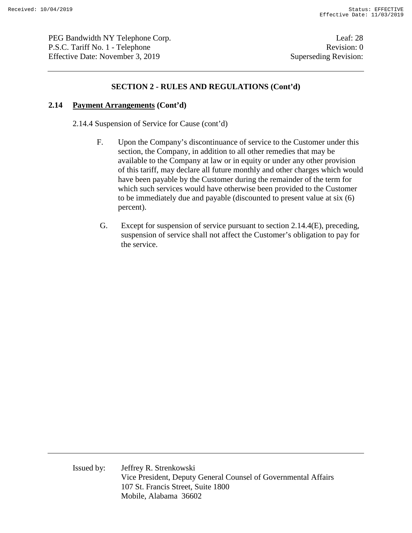PEG Bandwidth NY Telephone Corp. Leaf: 28 P.S.C. Tariff No. 1 - Telephone Revision: 0 Effective Date: November 3, 2019 Superseding Revision:

#### **SECTION 2 - RULES AND REGULATIONS (Cont'd)**

#### **2.14 Payment Arrangements (Cont'd)**

2.14.4 Suspension of Service for Cause (cont'd)

- F. Upon the Company's discontinuance of service to the Customer under this section, the Company, in addition to all other remedies that may be available to the Company at law or in equity or under any other provision of this tariff, may declare all future monthly and other charges which would have been payable by the Customer during the remainder of the term for which such services would have otherwise been provided to the Customer to be immediately due and payable (discounted to present value at six (6) percent).
- G. Except for suspension of service pursuant to section 2.14.4(E), preceding, suspension of service shall not affect the Customer's obligation to pay for the service.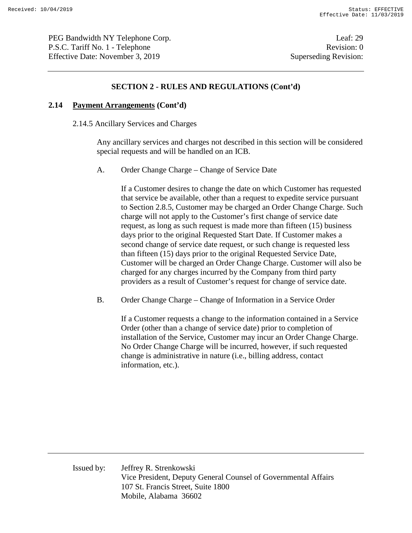PEG Bandwidth NY Telephone Corp. Leaf: 29 P.S.C. Tariff No. 1 - Telephone Revision: 0 Effective Date: November 3, 2019 Superseding Revision:

#### **SECTION 2 - RULES AND REGULATIONS (Cont'd)**

#### **2.14 Payment Arrangements (Cont'd)**

2.14.5 Ancillary Services and Charges

Any ancillary services and charges not described in this section will be considered special requests and will be handled on an ICB.

A. Order Change Charge – Change of Service Date

If a Customer desires to change the date on which Customer has requested that service be available, other than a request to expedite service pursuant to Section 2.8.5, Customer may be charged an Order Change Charge. Such charge will not apply to the Customer's first change of service date request, as long as such request is made more than fifteen (15) business days prior to the original Requested Start Date. If Customer makes a second change of service date request, or such change is requested less than fifteen (15) days prior to the original Requested Service Date, Customer will be charged an Order Change Charge. Customer will also be charged for any charges incurred by the Company from third party providers as a result of Customer's request for change of service date.

B. Order Change Charge – Change of Information in a Service Order

If a Customer requests a change to the information contained in a Service Order (other than a change of service date) prior to completion of installation of the Service, Customer may incur an Order Change Charge. No Order Change Charge will be incurred, however, if such requested change is administrative in nature (i.e., billing address, contact information, etc.).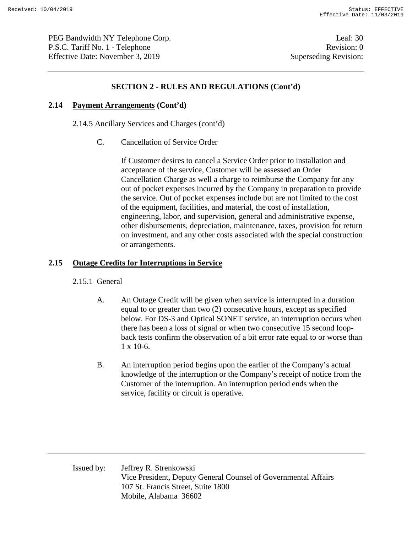PEG Bandwidth NY Telephone Corp. Leaf: 30 P.S.C. Tariff No. 1 - Telephone Revision: 0 Effective Date: November 3, 2019 Superseding Revision:

### **SECTION 2 - RULES AND REGULATIONS (Cont'd)**

#### **2.14 Payment Arrangements (Cont'd)**

2.14.5 Ancillary Services and Charges (cont'd)

C. Cancellation of Service Order

If Customer desires to cancel a Service Order prior to installation and acceptance of the service, Customer will be assessed an Order Cancellation Charge as well a charge to reimburse the Company for any out of pocket expenses incurred by the Company in preparation to provide the service. Out of pocket expenses include but are not limited to the cost of the equipment, facilities, and material, the cost of installation, engineering, labor, and supervision, general and administrative expense, other disbursements, depreciation, maintenance, taxes, provision for return on investment, and any other costs associated with the special construction or arrangements.

### **2.15 Outage Credits for Interruptions in Service**

#### 2.15.1 General

- A. An Outage Credit will be given when service is interrupted in a duration equal to or greater than two (2) consecutive hours, except as specified below. For DS-3 and Optical SONET service, an interruption occurs when there has been a loss of signal or when two consecutive 15 second loopback tests confirm the observation of a bit error rate equal to or worse than 1 x 10-6.
- B. An interruption period begins upon the earlier of the Company's actual knowledge of the interruption or the Company's receipt of notice from the Customer of the interruption. An interruption period ends when the service, facility or circuit is operative.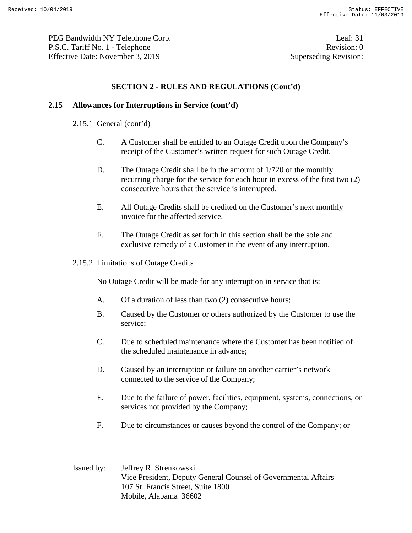PEG Bandwidth NY Telephone Corp. Leaf: 31 P.S.C. Tariff No. 1 - Telephone Revision: 0 Effective Date: November 3, 2019 Superseding Revision:

### **SECTION 2 - RULES AND REGULATIONS (Cont'd)**

#### **2.15 Allowances for Interruptions in Service (cont'd)**

- 2.15.1 General (cont'd)
	- C. A Customer shall be entitled to an Outage Credit upon the Company's receipt of the Customer's written request for such Outage Credit.
	- D. The Outage Credit shall be in the amount of 1/720 of the monthly recurring charge for the service for each hour in excess of the first two (2) consecutive hours that the service is interrupted.
	- E. All Outage Credits shall be credited on the Customer's next monthly invoice for the affected service.
	- F. The Outage Credit as set forth in this section shall be the sole and exclusive remedy of a Customer in the event of any interruption.
- 2.15.2 Limitations of Outage Credits

No Outage Credit will be made for any interruption in service that is:

- A. Of a duration of less than two (2) consecutive hours;
- B. Caused by the Customer or others authorized by the Customer to use the service;
- C. Due to scheduled maintenance where the Customer has been notified of the scheduled maintenance in advance;
- D. Caused by an interruption or failure on another carrier's network connected to the service of the Company;
- E. Due to the failure of power, facilities, equipment, systems, connections, or services not provided by the Company;
- F. Due to circumstances or causes beyond the control of the Company; or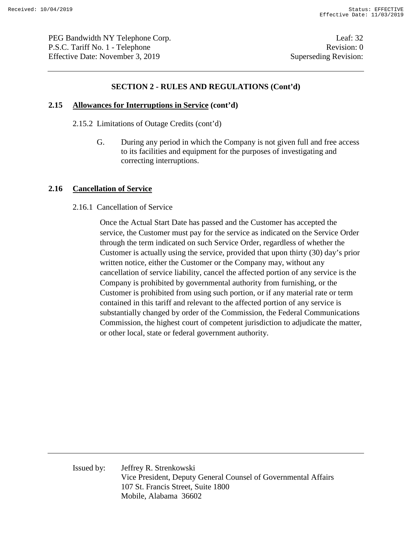PEG Bandwidth NY Telephone Corp. Leaf: 32 P.S.C. Tariff No. 1 - Telephone Revision: 0 Effective Date: November 3, 2019 Superseding Revision:

### **SECTION 2 - RULES AND REGULATIONS (Cont'd)**

#### **2.15 Allowances for Interruptions in Service (cont'd)**

- 2.15.2 Limitations of Outage Credits (cont'd)
	- G. During any period in which the Company is not given full and free access to its facilities and equipment for the purposes of investigating and correcting interruptions.

#### **2.16 Cancellation of Service**

2.16.1 Cancellation of Service

Once the Actual Start Date has passed and the Customer has accepted the service, the Customer must pay for the service as indicated on the Service Order through the term indicated on such Service Order, regardless of whether the Customer is actually using the service, provided that upon thirty (30) day's prior written notice, either the Customer or the Company may, without any cancellation of service liability, cancel the affected portion of any service is the Company is prohibited by governmental authority from furnishing, or the Customer is prohibited from using such portion, or if any material rate or term contained in this tariff and relevant to the affected portion of any service is substantially changed by order of the Commission, the Federal Communications Commission, the highest court of competent jurisdiction to adjudicate the matter, or other local, state or federal government authority.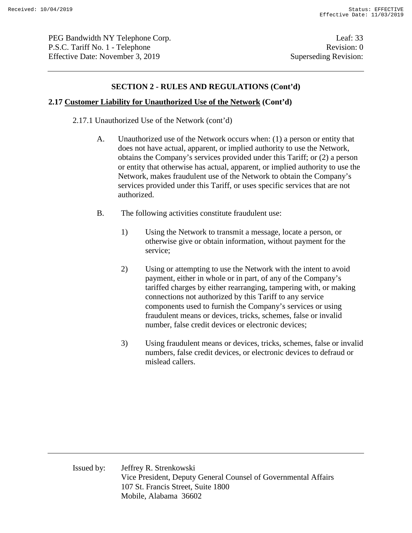PEG Bandwidth NY Telephone Corp. Leaf: 33 P.S.C. Tariff No. 1 - Telephone Revision: 0 Effective Date: November 3, 2019 Superseding Revision:

#### **SECTION 2 - RULES AND REGULATIONS (Cont'd)**

#### **2.17 Customer Liability for Unauthorized Use of the Network (Cont'd)**

2.17.1 Unauthorized Use of the Network (cont'd)

- A. Unauthorized use of the Network occurs when: (1) a person or entity that does not have actual, apparent, or implied authority to use the Network, obtains the Company's services provided under this Tariff; or (2) a person or entity that otherwise has actual, apparent, or implied authority to use the Network, makes fraudulent use of the Network to obtain the Company's services provided under this Tariff, or uses specific services that are not authorized.
- B. The following activities constitute fraudulent use:
	- 1) Using the Network to transmit a message, locate a person, or otherwise give or obtain information, without payment for the service;
	- 2) Using or attempting to use the Network with the intent to avoid payment, either in whole or in part, of any of the Company's tariffed charges by either rearranging, tampering with, or making connections not authorized by this Tariff to any service components used to furnish the Company's services or using fraudulent means or devices, tricks, schemes, false or invalid number, false credit devices or electronic devices;
	- 3) Using fraudulent means or devices, tricks, schemes, false or invalid numbers, false credit devices, or electronic devices to defraud or mislead callers.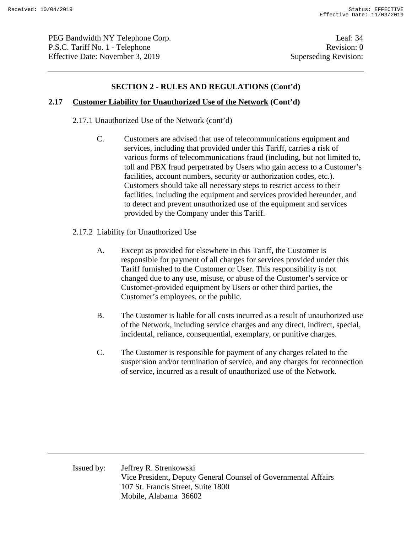PEG Bandwidth NY Telephone Corp. Leaf: 34 P.S.C. Tariff No. 1 - Telephone Revision: 0 Effective Date: November 3, 2019 Superseding Revision:

### **SECTION 2 - RULES AND REGULATIONS (Cont'd)**

### **2.17 Customer Liability for Unauthorized Use of the Network (Cont'd)**

2.17.1 Unauthorized Use of the Network (cont'd)

- C. Customers are advised that use of telecommunications equipment and services, including that provided under this Tariff, carries a risk of various forms of telecommunications fraud (including, but not limited to, toll and PBX fraud perpetrated by Users who gain access to a Customer's facilities, account numbers, security or authorization codes, etc.). Customers should take all necessary steps to restrict access to their facilities, including the equipment and services provided hereunder, and to detect and prevent unauthorized use of the equipment and services provided by the Company under this Tariff.
- 2.17.2 Liability for Unauthorized Use
	- A. Except as provided for elsewhere in this Tariff, the Customer is responsible for payment of all charges for services provided under this Tariff furnished to the Customer or User. This responsibility is not changed due to any use, misuse, or abuse of the Customer's service or Customer-provided equipment by Users or other third parties, the Customer's employees, or the public.
	- B. The Customer is liable for all costs incurred as a result of unauthorized use of the Network, including service charges and any direct, indirect, special, incidental, reliance, consequential, exemplary, or punitive charges.
	- C. The Customer is responsible for payment of any charges related to the suspension and/or termination of service, and any charges for reconnection of service, incurred as a result of unauthorized use of the Network.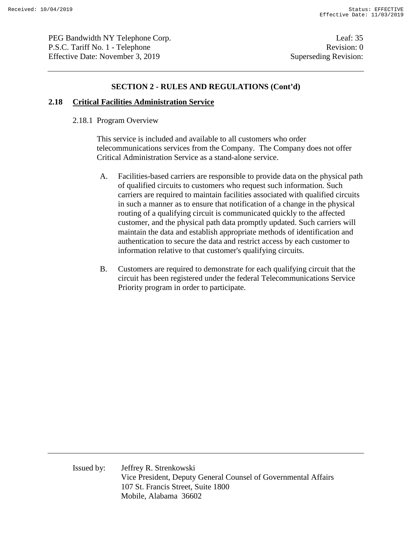PEG Bandwidth NY Telephone Corp. Leaf: 35 P.S.C. Tariff No. 1 - Telephone Revision: 0 Effective Date: November 3, 2019 Superseding Revision:

#### **SECTION 2 - RULES AND REGULATIONS (Cont'd)**

#### **2.18 Critical Facilities Administration Service**

#### 2.18.1 Program Overview

This service is included and available to all customers who order telecommunications services from the Company. The Company does not offer Critical Administration Service as a stand-alone service.

- A. Facilities-based carriers are responsible to provide data on the physical path of qualified circuits to customers who request such information. Such carriers are required to maintain facilities associated with qualified circuits in such a manner as to ensure that notification of a change in the physical routing of a qualifying circuit is communicated quickly to the affected customer, and the physical path data promptly updated. Such carriers will maintain the data and establish appropriate methods of identification and authentication to secure the data and restrict access by each customer to information relative to that customer's qualifying circuits.
- B. Customers are required to demonstrate for each qualifying circuit that the circuit has been registered under the federal Telecommunications Service Priority program in order to participate.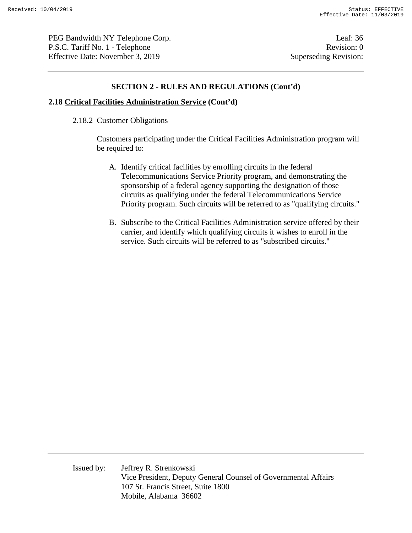PEG Bandwidth NY Telephone Corp. Leaf: 36 P.S.C. Tariff No. 1 - Telephone Revision: 0 Effective Date: November 3, 2019 Superseding Revision:

#### **SECTION 2 - RULES AND REGULATIONS (Cont'd)**

#### **2.18 Critical Facilities Administration Service (Cont'd)**

2.18.2 Customer Obligations

Customers participating under the Critical Facilities Administration program will be required to:

- A. Identify critical facilities by enrolling circuits in the federal Telecommunications Service Priority program, and demonstrating the sponsorship of a federal agency supporting the designation of those circuits as qualifying under the federal Telecommunications Service Priority program. Such circuits will be referred to as "qualifying circuits."
- B. Subscribe to the Critical Facilities Administration service offered by their carrier, and identify which qualifying circuits it wishes to enroll in the service. Such circuits will be referred to as "subscribed circuits."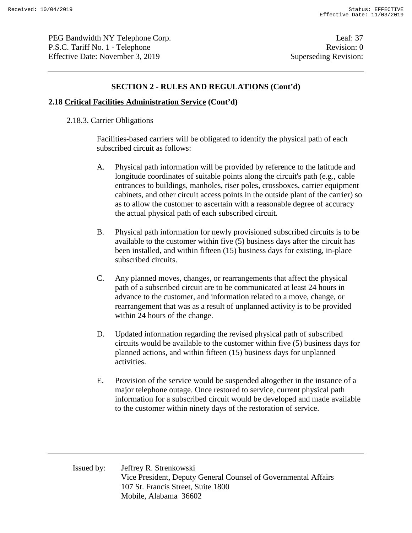PEG Bandwidth NY Telephone Corp. Leaf: 37 P.S.C. Tariff No. 1 - Telephone Revision: 0 Effective Date: November 3, 2019 Superseding Revision:

#### **SECTION 2 - RULES AND REGULATIONS (Cont'd)**

#### **2.18 Critical Facilities Administration Service (Cont'd)**

#### 2.18.3. Carrier Obligations

Facilities-based carriers will be obligated to identify the physical path of each subscribed circuit as follows:

- A. Physical path information will be provided by reference to the latitude and longitude coordinates of suitable points along the circuit's path (e.g., cable entrances to buildings, manholes, riser poles, crossboxes, carrier equipment cabinets, and other circuit access points in the outside plant of the carrier) so as to allow the customer to ascertain with a reasonable degree of accuracy the actual physical path of each subscribed circuit.
- B. Physical path information for newly provisioned subscribed circuits is to be available to the customer within five (5) business days after the circuit has been installed, and within fifteen (15) business days for existing, in-place subscribed circuits.
- C. Any planned moves, changes, or rearrangements that affect the physical path of a subscribed circuit are to be communicated at least 24 hours in advance to the customer, and information related to a move, change, or rearrangement that was as a result of unplanned activity is to be provided within 24 hours of the change.
- D. Updated information regarding the revised physical path of subscribed circuits would be available to the customer within five (5) business days for planned actions, and within fifteen (15) business days for unplanned activities.
- E. Provision of the service would be suspended altogether in the instance of a major telephone outage. Once restored to service, current physical path information for a subscribed circuit would be developed and made available to the customer within ninety days of the restoration of service.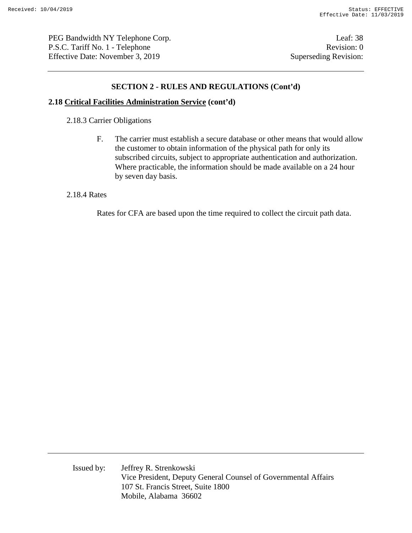PEG Bandwidth NY Telephone Corp. Leaf: 38 P.S.C. Tariff No. 1 - Telephone Revision: 0 Effective Date: November 3, 2019 Superseding Revision:

### **SECTION 2 - RULES AND REGULATIONS (Cont'd)**

#### **2.18 Critical Facilities Administration Service (cont'd)**

2.18.3 Carrier Obligations

F. The carrier must establish a secure database or other means that would allow the customer to obtain information of the physical path for only its subscribed circuits, subject to appropriate authentication and authorization. Where practicable, the information should be made available on a 24 hour by seven day basis.

#### 2.18.4 Rates

Rates for CFA are based upon the time required to collect the circuit path data.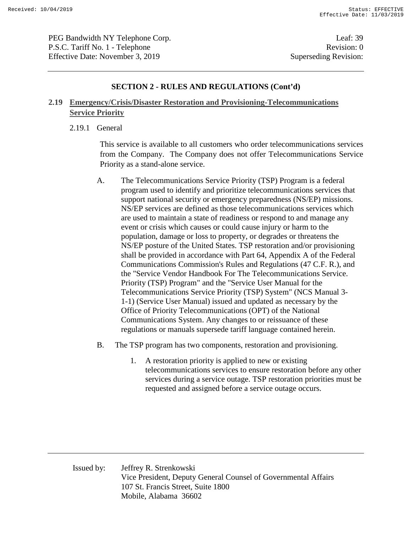PEG Bandwidth NY Telephone Corp. Leaf: 39 P.S.C. Tariff No. 1 - Telephone Revision: 0 Effective Date: November 3, 2019 Superseding Revision:

#### **SECTION 2 - RULES AND REGULATIONS (Cont'd)**

### **2.19 Emergency/Crisis/Disaster Restoration and Provisioning-Telecommunications Service Priority**

2.19.1 General

This service is available to all customers who order telecommunications services from the Company. The Company does not offer Telecommunications Service Priority as a stand-alone service.

- A. The Telecommunications Service Priority (TSP) Program is a federal program used to identify and prioritize telecommunications services that support national security or emergency preparedness (NS/EP) missions. NS/EP services are defined as those telecommunications services which are used to maintain a state of readiness or respond to and manage any event or crisis which causes or could cause injury or harm to the population, damage or loss to property, or degrades or threatens the NS/EP posture of the United States. TSP restoration and/or provisioning shall be provided in accordance with Part 64, Appendix A of the Federal Communications Commission's Rules and Regulations (47 C.F. R.), and the "Service Vendor Handbook For The Telecommunications Service. Priority (TSP) Program" and the "Service User Manual for the Telecommunications Service Priority (TSP) System" (NCS Manual 3- 1-1) (Service User Manual) issued and updated as necessary by the Office of Priority Telecommunications (OPT) of the National Communications System. Any changes to or reissuance of these regulations or manuals supersede tariff language contained herein.
- B. The TSP program has two components, restoration and provisioning.
	- 1. A restoration priority is applied to new or existing telecommunications services to ensure restoration before any other services during a service outage. TSP restoration priorities must be requested and assigned before a service outage occurs.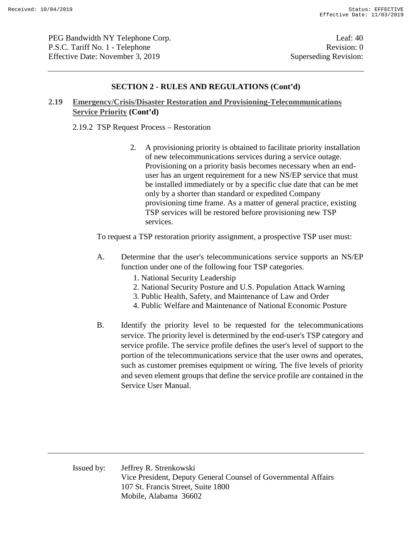PEG Bandwidth NY Telephone Corp. Leaf: 40 P.S.C. Tariff No. 1 - Telephone Revision: 0 Effective Date: November 3, 2019 Superseding Revision:

#### **SECTION 2 - RULES AND REGULATIONS (Cont'd)**

### **2.19 Emergency/Crisis/Disaster Restoration and Provisioning-Telecommunications Service Priority (Cont'd)**

#### 2.19.2 TSP Request Process – Restoration

2. A provisioning priority is obtained to facilitate priority installation of new telecommunications services during a service outage. Provisioning on a priority basis becomes necessary when an enduser has an urgent requirement for a new NS/EP service that must be installed immediately or by a specific clue date that can be met only by a shorter than standard or expedited Company provisioning time frame. As a matter of general practice, existing TSP services will be restored before provisioning new TSP services.

To request a TSP restoration priority assignment, a prospective TSP user must:

- A. Determine that the user's telecommunications service supports an NS/EP function under one of the following four TSP categories.
	- 1. National Security Leadership
	- 2. National Security Posture and U.S. Population Attack Warning
	- 3. Public Health, Safety, and Maintenance of Law and Order
	- 4. Public Welfare and Maintenance of National Economic Posture
- B. Identify the priority level to be requested for the telecommunications service. The priority level is determined by the end-user's TSP category and service profile. The service profile defines the user's level of support to the portion of the telecommunications service that the user owns and operates, such as customer premises equipment or wiring. The five levels of priority and seven element groups that define the service profile are contained in the Service User Manual.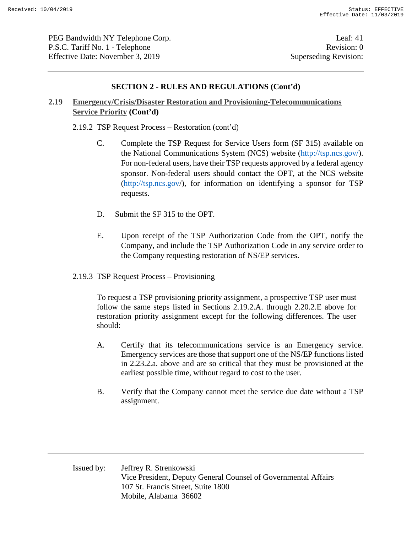PEG Bandwidth NY Telephone Corp. Leaf: 41 P.S.C. Tariff No. 1 - Telephone Revision: 0 Effective Date: November 3, 2019 Superseding Revision:

#### **SECTION 2 - RULES AND REGULATIONS (Cont'd)**

### **2.19 Emergency/Crisis/Disaster Restoration and Provisioning-Telecommunications Service Priority (Cont'd)**

2.19.2 TSP Request Process – Restoration (cont'd)

- C. Complete the TSP Request for Service Users form (SF 315) available on the National Communications System (NCS) website (http://tsp.ncs.gov/). For non-federal users, have their TSP requests approved by a federal agency sponsor. Non-federal users should contact the OPT, at the NCS website (http://tsp.ncs.gov/), for information on identifying a sponsor for TSP requests.
- D. Submit the SF 315 to the OPT.
- E. Upon receipt of the TSP Authorization Code from the OPT, notify the Company, and include the TSP Authorization Code in any service order to the Company requesting restoration of NS/EP services.
- 2.19.3 TSP Request Process Provisioning

To request a TSP provisioning priority assignment, a prospective TSP user must follow the same steps listed in Sections 2.19.2.A. through 2.20.2.E above for restoration priority assignment except for the following differences. The user should:

- A. Certify that its telecommunications service is an Emergency service. Emergency services are those that support one of the NS/EP functions listed in 2.23.2.a. above and are so critical that they must be provisioned at the earliest possible time, without regard to cost to the user.
- B. Verify that the Company cannot meet the service due date without a TSP assignment.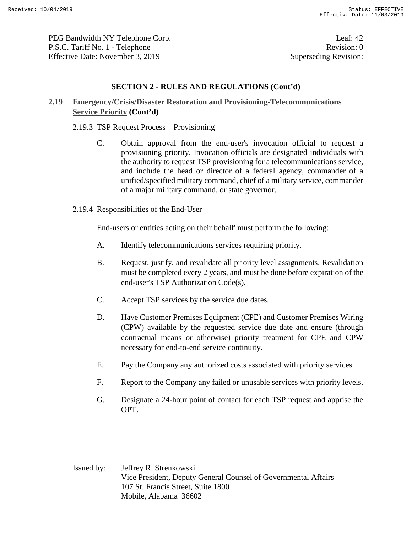PEG Bandwidth NY Telephone Corp. Leaf: 42 P.S.C. Tariff No. 1 - Telephone Revision: 0 Effective Date: November 3, 2019 Superseding Revision:

### **SECTION 2 - RULES AND REGULATIONS (Cont'd)**

### **2.19 Emergency/Crisis/Disaster Restoration and Provisioning-Telecommunications Service Priority (Cont'd)**

2.19.3 TSP Request Process – Provisioning

- C. Obtain approval from the end-user's invocation official to request a provisioning priority. Invocation officials are designated individuals with the authority to request TSP provisioning for a telecommunications service, and include the head or director of a federal agency, commander of a unified/specified military command, chief of a military service, commander of a major military command, or state governor.
- 2.19.4 Responsibilities of the End-User

End-users or entities acting on their behalf' must perform the following:

- A. Identify telecommunications services requiring priority.
- B. Request, justify, and revalidate all priority level assignments. Revalidation must be completed every 2 years, and must be done before expiration of the end-user's TSP Authorization Code(s).
- C. Accept TSP services by the service due dates.
- D. Have Customer Premises Equipment (CPE) and Customer Premises Wiring (CPW) available by the requested service due date and ensure (through contractual means or otherwise) priority treatment for CPE and CPW necessary for end-to-end service continuity.
- E. Pay the Company any authorized costs associated with priority services.
- F. Report to the Company any failed or unusable services with priority levels.
- G. Designate a 24-hour point of contact for each TSP request and apprise the OPT.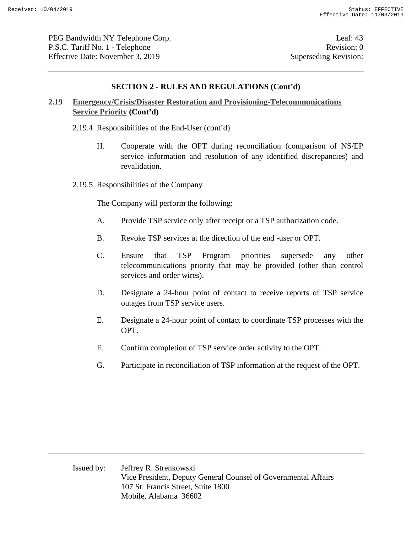PEG Bandwidth NY Telephone Corp. Leaf: 43 P.S.C. Tariff No. 1 - Telephone Revision: 0 Effective Date: November 3, 2019 Superseding Revision:

#### **SECTION 2 - RULES AND REGULATIONS (Cont'd)**

### **2.19 Emergency/Crisis/Disaster Restoration and Provisioning-Telecommunications Service Priority (Cont'd)**

- 2.19.4 Responsibilities of the End-User (cont'd)
	- H. Cooperate with the OPT during reconciliation (comparison of NS/EP service information and resolution of any identified discrepancies) and revalidation.
- 2.19.5 Responsibilities of the Company

The Company will perform the following:

- A. Provide TSP service only after receipt or a TSP authorization code.
- B. Revoke TSP services at the direction of the end -user or OPT.
- C. Ensure that TSP Program priorities supersede any other telecommunications priority that may be provided (other than control services and order wires).
- D. Designate a 24-hour point of contact to receive reports of TSP service outages from TSP service users.
- E. Designate a 24-hour point of contact to coordinate TSP processes with the OPT.
- F. Confirm completion of TSP service order activity to the OPT.
- G. Participate in reconciliation of TSP information at the request of the OPT.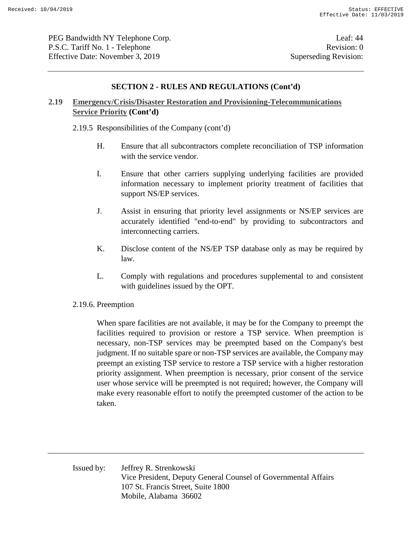PEG Bandwidth NY Telephone Corp. Leaf: 44 P.S.C. Tariff No. 1 - Telephone Revision: 0 Effective Date: November 3, 2019 Superseding Revision:

#### **SECTION 2 - RULES AND REGULATIONS (Cont'd)**

### **2.19 Emergency/Crisis/Disaster Restoration and Provisioning-Telecommunications Service Priority (Cont'd)**

2.19.5 Responsibilities of the Company (cont'd)

- H. Ensure that all subcontractors complete reconciliation of TSP information with the service vendor.
- I. Ensure that other carriers supplying underlying facilities are provided information necessary to implement priority treatment of facilities that support NS/EP services.
- J. Assist in ensuring that priority level assignments or NS/EP services are accurately identified "end-to-end" by providing to subcontractors and interconnecting carriers.
- K. Disclose content of the NS/EP TSP database only as may be required by law.
- L. Comply with regulations and procedures supplemental to and consistent with guidelines issued by the OPT.
- 2.19.6. Preemption

When spare facilities are not available, it may be for the Company to preempt the facilities required to provision or restore a TSP service. When preemption is necessary, non-TSP services may be preempted based on the Company's best judgment. If no suitable spare or non-TSP services are available, the Company may preempt an existing TSP service to restore a TSP service with a higher restoration priority assignment. When preemption is necessary, prior consent of the service user whose service will be preempted is not required; however, the Company will make every reasonable effort to notify the preempted customer of the action to be taken.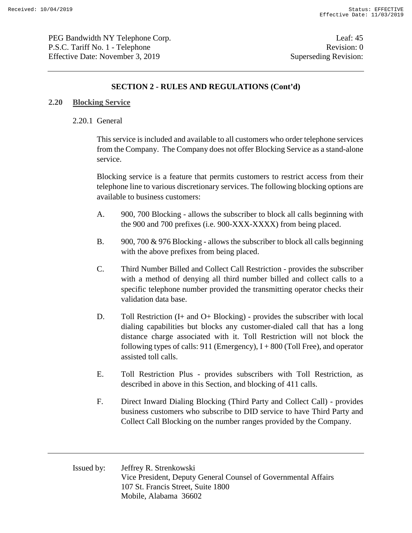PEG Bandwidth NY Telephone Corp. Leaf: 45 P.S.C. Tariff No. 1 - Telephone Revision: 0 Effective Date: November 3, 2019 Superseding Revision:

### **SECTION 2 - RULES AND REGULATIONS (Cont'd)**

#### **2.20 Blocking Service**

#### 2.20.1 General

This service is included and available to all customers who order telephone services from the Company. The Company does not offer Blocking Service as a stand-alone service.

Blocking service is a feature that permits customers to restrict access from their telephone line to various discretionary services. The following blocking options are available to business customers:

- A. 900, 700 Blocking allows the subscriber to block all calls beginning with the 900 and 700 prefixes (i.e. 900-XXX-XXXX) from being placed.
- B. 900, 700 & 976 Blocking allows the subscriber to block all calls beginning with the above prefixes from being placed.
- C. Third Number Billed and Collect Call Restriction provides the subscriber with a method of denying all third number billed and collect calls to a specific telephone number provided the transmitting operator checks their validation data base.
- D. Toll Restriction (I+ and O+ Blocking) provides the subscriber with local dialing capabilities but blocks any customer-dialed call that has a long distance charge associated with it. Toll Restriction will not block the following types of calls:  $911$  (Emergency),  $I + 800$  (Toll Free), and operator assisted toll calls.
- E. Toll Restriction Plus provides subscribers with Toll Restriction, as described in above in this Section, and blocking of 411 calls.
- F. Direct Inward Dialing Blocking (Third Party and Collect Call) provides business customers who subscribe to DID service to have Third Party and Collect Call Blocking on the number ranges provided by the Company.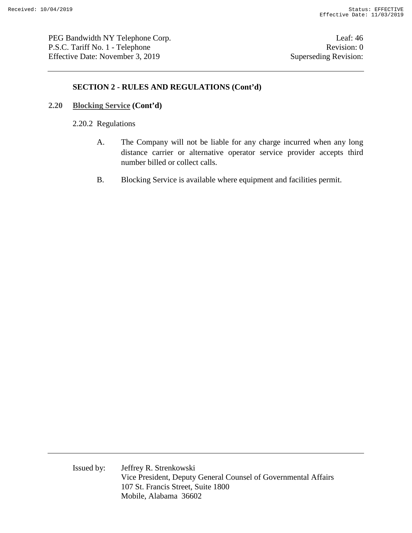PEG Bandwidth NY Telephone Corp. Leaf: 46 P.S.C. Tariff No. 1 - Telephone Revision: 0 Effective Date: November 3, 2019 Superseding Revision:

### **SECTION 2 - RULES AND REGULATIONS (Cont'd)**

#### **2.20 Blocking Service (Cont'd)**

2.20.2 Regulations

- A. The Company will not be liable for any charge incurred when any long distance carrier or alternative operator service provider accepts third number billed or collect calls.
- B. Blocking Service is available where equipment and facilities permit.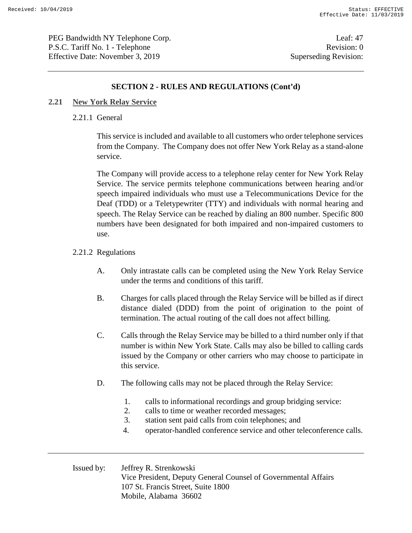PEG Bandwidth NY Telephone Corp. Leaf: 47 P.S.C. Tariff No. 1 - Telephone Revision: 0 Effective Date: November 3, 2019 Superseding Revision:

### **SECTION 2 - RULES AND REGULATIONS (Cont'd)**

#### **2.21 New York Relay Service**

#### 2.21.1 General

This service is included and available to all customers who order telephone services from the Company. The Company does not offer New York Relay as a stand-alone service.

The Company will provide access to a telephone relay center for New York Relay Service. The service permits telephone communications between hearing and/or speech impaired individuals who must use a Telecommunications Device for the Deaf (TDD) or a Teletypewriter (TTY) and individuals with normal hearing and speech. The Relay Service can be reached by dialing an 800 number. Specific 800 numbers have been designated for both impaired and non-impaired customers to use.

#### 2.21.2 Regulations

- A. Only intrastate calls can be completed using the New York Relay Service under the terms and conditions of this tariff.
- B. Charges for calls placed through the Relay Service will be billed as if direct distance dialed (DDD) from the point of origination to the point of termination. The actual routing of the call does not affect billing.
- C. Calls through the Relay Service may be billed to a third number only if that number is within New York State. Calls may also be billed to calling cards issued by the Company or other carriers who may choose to participate in this service.
- D. The following calls may not be placed through the Relay Service:
	- 1. calls to informational recordings and group bridging service:
	- 2. calls to time or weather recorded messages;
	- 3. station sent paid calls from coin telephones; and
	- 4. operator-handled conference service and other teleconference calls.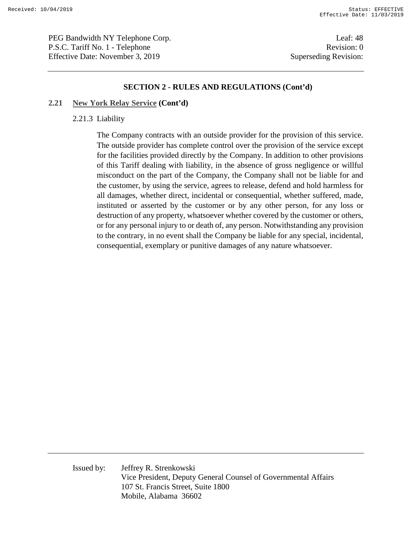PEG Bandwidth NY Telephone Corp. Leaf: 48 P.S.C. Tariff No. 1 - Telephone Revision: 0 Effective Date: November 3, 2019 Superseding Revision:

#### **SECTION 2 - RULES AND REGULATIONS (Cont'd)**

#### **2.21 New York Relay Service (Cont'd)**

#### 2.21.3 Liability

The Company contracts with an outside provider for the provision of this service. The outside provider has complete control over the provision of the service except for the facilities provided directly by the Company. In addition to other provisions of this Tariff dealing with liability, in the absence of gross negligence or willful misconduct on the part of the Company, the Company shall not be liable for and the customer, by using the service, agrees to release, defend and hold harmless for all damages, whether direct, incidental or consequential, whether suffered, made, instituted or asserted by the customer or by any other person, for any loss or destruction of any property, whatsoever whether covered by the customer or others, or for any personal injury to or death of, any person. Notwithstanding any provision to the contrary, in no event shall the Company be liable for any special, incidental, consequential, exemplary or punitive damages of any nature whatsoever.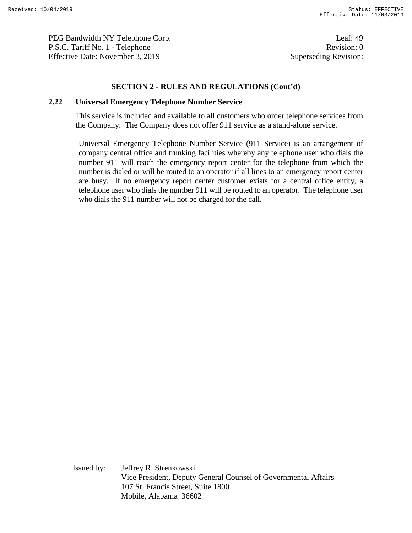PEG Bandwidth NY Telephone Corp. Leaf: 49 P.S.C. Tariff No. 1 - Telephone Revision: 0 Effective Date: November 3, 2019 Superseding Revision:

#### **SECTION 2 - RULES AND REGULATIONS (Cont'd)**

#### **2.22 Universal Emergency Telephone Number Service**

This service is included and available to all customers who order telephone services from the Company. The Company does not offer 911 service as a stand-alone service.

Universal Emergency Telephone Number Service (911 Service) is an arrangement of company central office and trunking facilities whereby any telephone user who dials the number 911 will reach the emergency report center for the telephone from which the number is dialed or will be routed to an operator if all lines to an emergency report center are busy. If no emergency report center customer exists for a central office entity, a telephone user who dials the number 911 will be routed to an operator. The telephone user who dials the 911 number will not be charged for the call.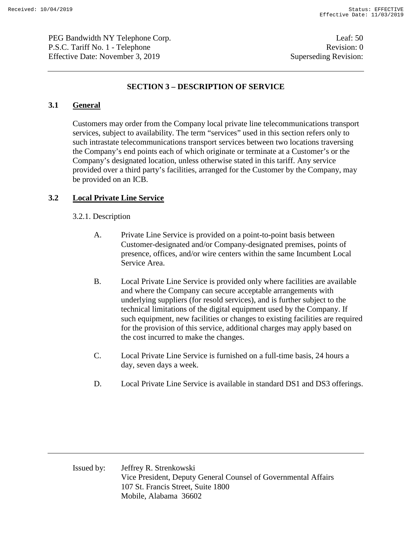PEG Bandwidth NY Telephone Corp. Leaf: 50 P.S.C. Tariff No. 1 - Telephone Revision: 0 Effective Date: November 3, 2019 Superseding Revision:

### **SECTION 3 – DESCRIPTION OF SERVICE**

### **3.1 General**

Customers may order from the Company local private line telecommunications transport services, subject to availability. The term "services" used in this section refers only to such intrastate telecommunications transport services between two locations traversing the Company's end points each of which originate or terminate at a Customer's or the Company's designated location, unless otherwise stated in this tariff. Any service provided over a third party's facilities, arranged for the Customer by the Company, may be provided on an ICB.

### **3.2 Local Private Line Service**

#### 3.2.1. Description

- A. Private Line Service is provided on a point-to-point basis between Customer-designated and/or Company-designated premises, points of presence, offices, and/or wire centers within the same Incumbent Local Service Area.
- B. Local Private Line Service is provided only where facilities are available and where the Company can secure acceptable arrangements with underlying suppliers (for resold services), and is further subject to the technical limitations of the digital equipment used by the Company. If such equipment, new facilities or changes to existing facilities are required for the provision of this service, additional charges may apply based on the cost incurred to make the changes.
- C. Local Private Line Service is furnished on a full-time basis, 24 hours a day, seven days a week.
- D. Local Private Line Service is available in standard DS1 and DS3 offerings.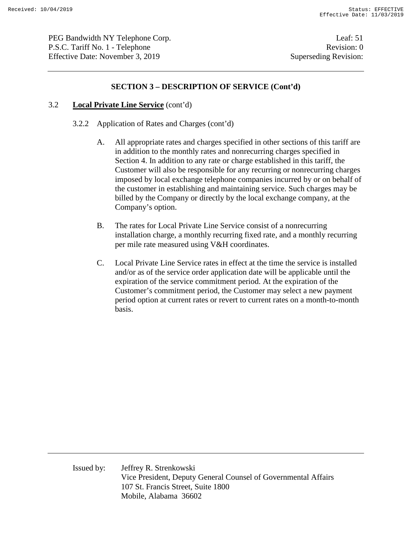PEG Bandwidth NY Telephone Corp. Leaf: 51 P.S.C. Tariff No. 1 - Telephone Revision: 0 Effective Date: November 3, 2019 Superseding Revision:

### **SECTION 3 – DESCRIPTION OF SERVICE (Cont'd)**

#### 3.2 **Local Private Line Service** (cont'd)

- 3.2.2 Application of Rates and Charges (cont'd)
	- A. All appropriate rates and charges specified in other sections of this tariff are in addition to the monthly rates and nonrecurring charges specified in Section 4. In addition to any rate or charge established in this tariff, the Customer will also be responsible for any recurring or nonrecurring charges imposed by local exchange telephone companies incurred by or on behalf of the customer in establishing and maintaining service. Such charges may be billed by the Company or directly by the local exchange company, at the Company's option.
	- B. The rates for Local Private Line Service consist of a nonrecurring installation charge, a monthly recurring fixed rate, and a monthly recurring per mile rate measured using V&H coordinates.
	- C. Local Private Line Service rates in effect at the time the service is installed and/or as of the service order application date will be applicable until the expiration of the service commitment period. At the expiration of the Customer's commitment period, the Customer may select a new payment period option at current rates or revert to current rates on a month-to-month basis.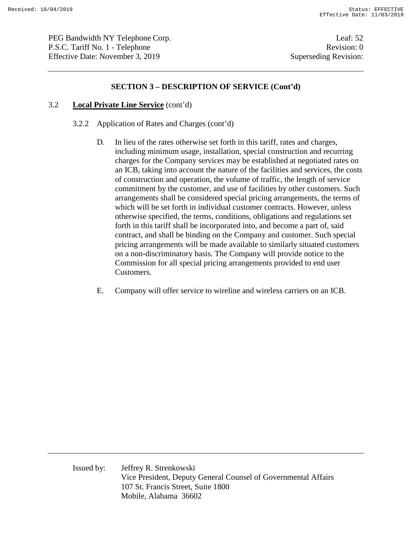PEG Bandwidth NY Telephone Corp. Leaf: 52 P.S.C. Tariff No. 1 - Telephone Revision: 0 Effective Date: November 3, 2019 Superseding Revision:

### **SECTION 3 – DESCRIPTION OF SERVICE (Cont'd)**

#### 3.2 **Local Private Line Service** (cont'd)

- 3.2.2 Application of Rates and Charges (cont'd)
	- D. In lieu of the rates otherwise set forth in this tariff, rates and charges, including minimum usage, installation, special construction and recurring charges for the Company services may be established at negotiated rates on an ICB, taking into account the nature of the facilities and services, the costs of construction and operation, the volume of traffic, the length of service commitment by the customer, and use of facilities by other customers. Such arrangements shall be considered special pricing arrangements, the terms of which will be set forth in individual customer contracts. However, unless otherwise specified, the terms, conditions, obligations and regulations set forth in this tariff shall be incorporated into, and become a part of, said contract, and shall be binding on the Company and customer. Such special pricing arrangements will be made available to similarly situated customers on a non-discriminatory basis. The Company will provide notice to the Commission for all special pricing arrangements provided to end user Customers.
	- E. Company will offer service to wireline and wireless carriers on an ICB.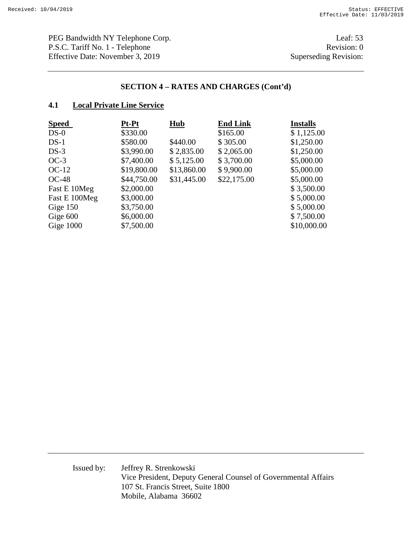PEG Bandwidth NY Telephone Corp. Leaf: 53 P.S.C. Tariff No. 1 - Telephone Revision: 0<br>Effective Date: November 3, 2019 Superseding Revision: Effective Date: November 3, 2019

### **SECTION 4 – RATES AND CHARGES (Cont'd)**

### **4.1 Local Private Line Service**

| <b>Speed</b>  | Pt-Pt       | <b>Hub</b>  | <b>End Link</b> | <b>Installs</b> |
|---------------|-------------|-------------|-----------------|-----------------|
| $DS-0$        | \$330.00    |             | \$165.00        | \$1,125.00      |
| $DS-1$        | \$580.00    | \$440.00    | \$305.00        | \$1,250.00      |
| $DS-3$        | \$3,990.00  | \$2,835.00  | \$2,065.00      | \$1,250.00      |
| $OC-3$        | \$7,400.00  | \$5,125.00  | \$3,700.00      | \$5,000.00      |
| $OC-12$       | \$19,800.00 | \$13,860.00 | \$9,900.00      | \$5,000.00      |
| $OC-48$       | \$44,750.00 | \$31,445.00 | \$22,175.00     | \$5,000.00      |
| Fast E 10Meg  | \$2,000.00  |             |                 | \$3,500.00      |
| Fast E 100Meg | \$3,000.00  |             |                 | \$5,000.00      |
| Gige 150      | \$3,750.00  |             |                 | \$5,000.00      |
| Gige 600      | \$6,000.00  |             |                 | \$7,500.00      |
| Gige $1000$   | \$7,500.00  |             |                 | \$10,000.00     |